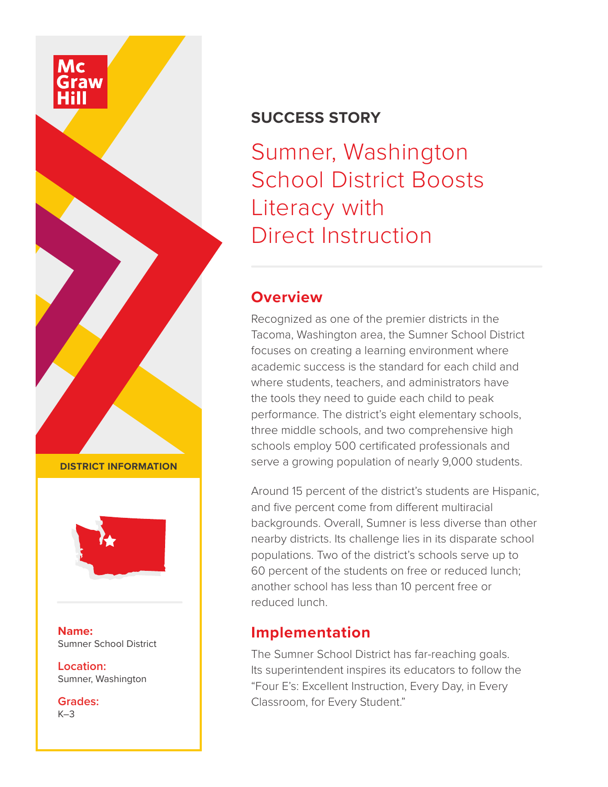# **SUCCESS STORY**

Sumner, Washington School District Boosts Literacy with Direct Instruction

#### **Overview**

Recognized as one of the premier districts in the Tacoma, Washington area, the Sumner School District focuses on creating a learning environment where academic success is the standard for each child and where students, teachers, and administrators have the tools they need to guide each child to peak performance. The district's eight elementary schools, three middle schools, and two comprehensive high schools employ 500 certificated professionals and serve a growing population of nearly 9,000 students.

Around 15 percent of the district's students are Hispanic, and five percent come from different multiracial backgrounds. Overall, Sumner is less diverse than other nearby districts. Its challenge lies in its disparate school populations. Two of the district's schools serve up to 60 percent of the students on free or reduced lunch; another school has less than 10 percent free or reduced lunch.

# **Implementation**

The Sumner School District has far-reaching goals. Its superintendent inspires its educators to follow the "Four E's: Excellent Instruction, Every Day, in Every Classroom, for Every Student."

**DISTRICT INFORMATION**



**Name:** Sumner School District

**Location:** Sumner, Washington

**Grades:**  $K-3$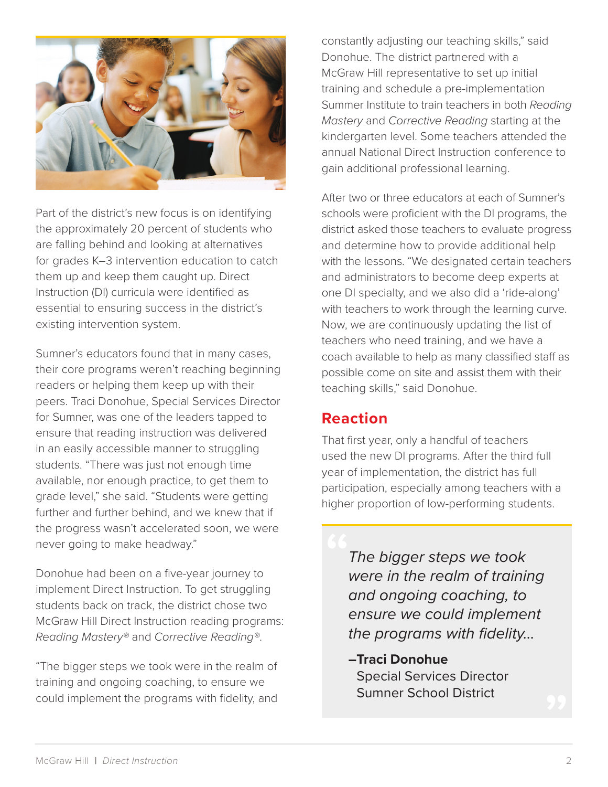

Part of the district's new focus is on identifying the approximately 20 percent of students who are falling behind and looking at alternatives for grades K–3 intervention education to catch them up and keep them caught up. Direct Instruction (DI) curricula were identified as essential to ensuring success in the district's existing intervention system.

Sumner's educators found that in many cases, their core programs weren't reaching beginning readers or helping them keep up with their peers. Traci Donohue, Special Services Director for Sumner, was one of the leaders tapped to ensure that reading instruction was delivered in an easily accessible manner to struggling students. "There was just not enough time available, nor enough practice, to get them to grade level," she said. "Students were getting further and further behind, and we knew that if the progress wasn't accelerated soon, we were never going to make headway."

Donohue had been on a five-year journey to implement Direct Instruction. To get struggling students back on track, the district chose two McGraw Hill Direct Instruction reading programs: *Reading Mastery®* and *Corrective Reading®*.

"The bigger steps we took were in the realm of training and ongoing coaching, to ensure we could implement the programs with fidelity, and constantly adjusting our teaching skills," said Donohue. The district partnered with a McGraw Hill representative to set up initial training and schedule a pre-implementation Summer Institute to train teachers in both *Reading Mastery* and *Corrective Reading* starting at the kindergarten level. Some teachers attended the annual National Direct Instruction conference to gain additional professional learning.

After two or three educators at each of Sumner's schools were proficient with the DI programs, the district asked those teachers to evaluate progress and determine how to provide additional help with the lessons. "We designated certain teachers and administrators to become deep experts at one DI specialty, and we also did a 'ride-along' with teachers to work through the learning curve. Now, we are continuously updating the list of teachers who need training, and we have a coach available to help as many classified staff as possible come on site and assist them with their teaching skills," said Donohue.

# **Reaction**

That first year, only a handful of teachers used the new DI programs. After the third full year of implementation, the district has full participation, especially among teachers with a higher proportion of low-performing students.

> *The bigger steps we took were in the realm of training and ongoing coaching, to ensure we could implement the programs with fidelity...*

#### **–Traci Donohue**

Special Services Director Sumner School District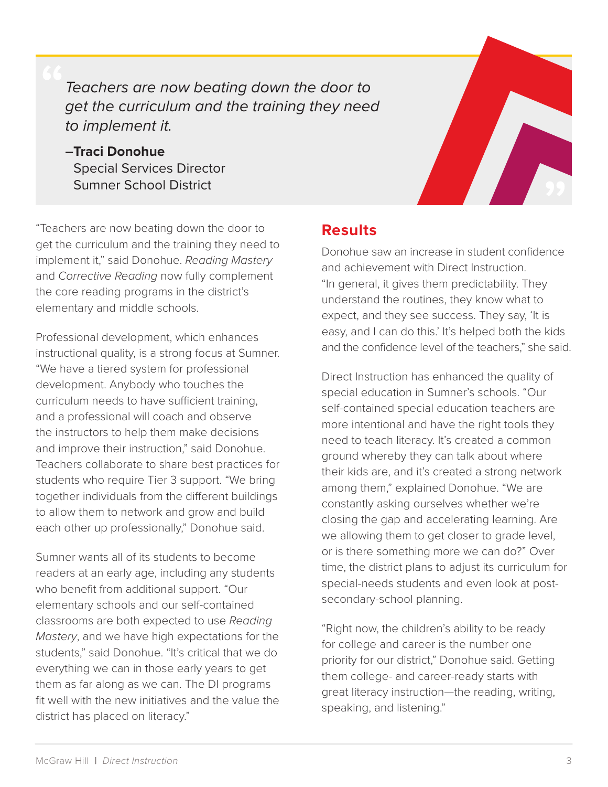*Teachers are now beating down the door to get the curriculum and the training they need to implement it.*

**–Traci Donohue** Special Services Director Sumner School District

"Teachers are now beating down the door to get the curriculum and the training they need to implement it," said Donohue. *Reading Mastery* and *Corrective Reading* now fully complement the core reading programs in the district's elementary and middle schools.

Professional development, which enhances instructional quality, is a strong focus at Sumner. "We have a tiered system for professional development. Anybody who touches the curriculum needs to have sufficient training, and a professional will coach and observe the instructors to help them make decisions and improve their instruction," said Donohue. Teachers collaborate to share best practices for students who require Tier 3 support. "We bring together individuals from the different buildings to allow them to network and grow and build each other up professionally," Donohue said.

Sumner wants all of its students to become readers at an early age, including any students who benefit from additional support. "Our elementary schools and our self-contained classrooms are both expected to use *Reading Mastery*, and we have high expectations for the students," said Donohue. "It's critical that we do everything we can in those early years to get them as far along as we can. The DI programs fit well with the new initiatives and the value the district has placed on literacy."

#### **Results**

Donohue saw an increase in student confidence and achievement with Direct Instruction. "In general, it gives them predictability. They understand the routines, they know what to expect, and they see success. They say, 'It is easy, and I can do this.' It's helped both the kids and the confidence level of the teachers," she said.

Direct Instruction has enhanced the quality of special education in Sumner's schools. "Our self-contained special education teachers are more intentional and have the right tools they need to teach literacy. It's created a common ground whereby they can talk about where their kids are, and it's created a strong network among them," explained Donohue. "We are constantly asking ourselves whether we're closing the gap and accelerating learning. Are we allowing them to get closer to grade level, or is there something more we can do?" Over time, the district plans to adjust its curriculum for special-needs students and even look at postsecondary-school planning.

"Right now, the children's ability to be ready for college and career is the number one priority for our district," Donohue said. Getting them college- and career-ready starts with great literacy instruction—the reading, writing, speaking, and listening."